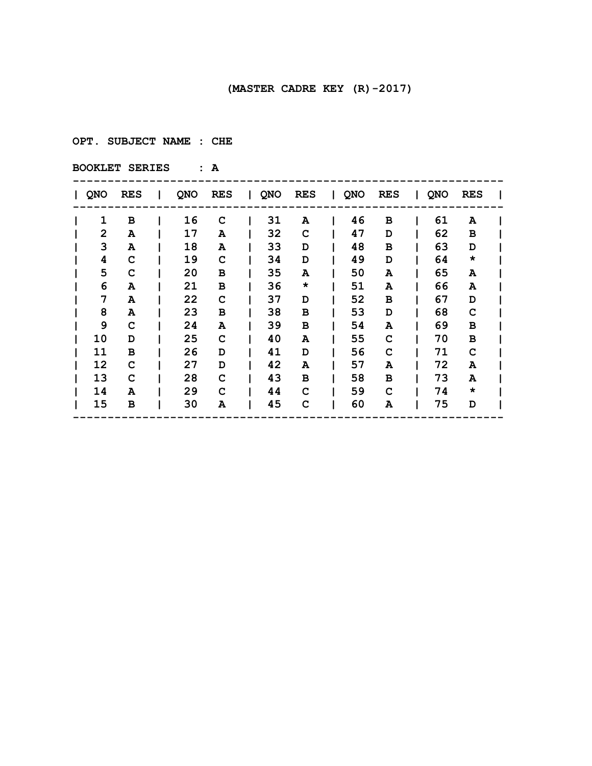**OPT. SUBJECT NAME : CHE**

| QNO | <b>RES</b> | Т. | QNO | <b>RES</b> | $\mathbf{I}$ | QNO | <b>RES</b> | I QNO | <b>RES</b> | $\mathbf{I}$ | QNO | <b>RES</b> |  |
|-----|------------|----|-----|------------|--------------|-----|------------|-------|------------|--------------|-----|------------|--|
| 1   | в          |    | 16  | C          |              | 31  | A          | 46    | в          |              | 61  | A          |  |
| 2   | A          |    | 17  | A          |              | 32  | C          | 47    | D          |              | 62  | в          |  |
| 3   | A          |    | 18  | A          |              | 33  | D          | 48    | в          |              | 63  | D          |  |
| 4   | C          |    | 19  | C          |              | 34  | D          | 49    | D          |              | 64  | $\star$    |  |
| 5   | C          |    | 20  | в          |              | 35  | A          | 50    | A          |              | 65  | A          |  |
| 6   | A          |    | 21  | в          |              | 36  | $\star$    | 51    | A          |              | 66  | A          |  |
| 7   | A          |    | 22  | C          |              | 37  | D          | 52    | в          |              | 67  | D          |  |
| 8   | A          |    | 23  | в          |              | 38  | в          | 53    | D          |              | 68  | C          |  |
| 9   | C          |    | 24  | A          |              | 39  | в          | 54    | A          |              | 69  | в          |  |
| 10  | D          |    | 25  | C          |              | 40  | A          | 55    | C          |              | 70  | В          |  |
| 11  | в          |    | 26  | D          |              | 41  | D          | 56    | C          |              | 71  | C          |  |
| 12  | C          |    | 27  | D          |              | 42  | A          | 57    | A          |              | 72  | Α          |  |
| 13  | C          |    | 28  | C          |              | 43  | в          | 58    | в          |              | 73  | Α          |  |
| 14  | A          |    | 29  | C          |              | 44  | C          | 59    | C          |              | 74  | $\star$    |  |
| 15  | в          |    | 30  | A          |              | 45  | C          | 60    | A          |              | 75  | D          |  |
|     |            |    |     |            |              |     |            |       |            |              |     |            |  |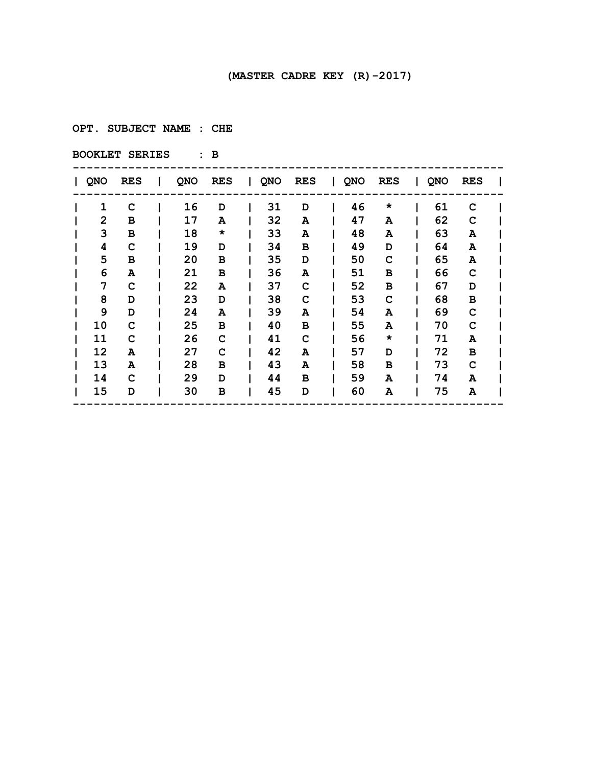**OPT. SUBJECT NAME : CHE**

| QNO | <b>RES</b> | L | QNO | RES     | QNO | <b>RES</b> | I QNO | <b>RES</b> | QNO | <b>RES</b> |  |
|-----|------------|---|-----|---------|-----|------------|-------|------------|-----|------------|--|
| 1   | C          |   | 16  | D       | 31  | D          | 46    | $\star$    | 61  | C          |  |
| 2   | в          |   | 17  | A       | 32  | A          | 47    | A          | 62  | C          |  |
| 3   | в          |   | 18  | $\star$ | 33  | A          | 48    | A          | 63  | A          |  |
| 4   | C          |   | 19  | D       | 34  | в          | 49    | D          | 64  | A          |  |
| 5   | в          |   | 20  | в       | 35  | D          | 50    | C          | 65  | A          |  |
| 6   | A          |   | 21  | в       | 36  | A          | 51    | в          | 66  | C          |  |
| 7   | C          |   | 22  | A       | 37  | C          | 52    | в          | 67  | D          |  |
| 8   | D          |   | 23  | D       | 38  | C          | 53    | C          | 68  | в          |  |
| 9   | D          |   | 24  | A       | 39  | A          | 54    | A          | 69  | C          |  |
| 10  | C          |   | 25  | в       | 40  | в          | 55    | A          | 70  | C          |  |
| 11  | C          |   | 26  | C       | 41  | C          | 56    | $\star$    | 71  | Α          |  |
| 12  | A          |   | 27  | c       | 42  | A          | 57    | D          | 72  | в          |  |
| 13  | A          |   | 28  | в       | 43  | A          | 58    | в          | 73  | C          |  |
| 14  | C          |   | 29  | D       | 44  | в          | 59    | A          | 74  | A          |  |
| 15  | D          |   | 30  | в       | 45  | D          | 60    | A          | 75  | Α          |  |
|     |            |   |     |         |     |            |       |            |     |            |  |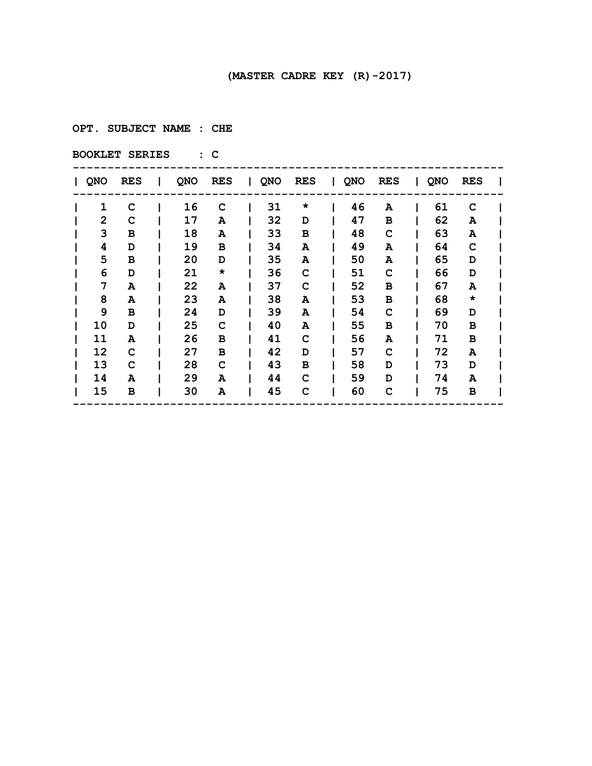**OPT. SUBJECT NAME : CHE**

| QNO | <b>RES</b> | L | QNO | <b>RES</b> | QNO | <b>RES</b> | I QNO | <b>RES</b> | QNO | <b>RES</b> |  |
|-----|------------|---|-----|------------|-----|------------|-------|------------|-----|------------|--|
| 1   | C          |   | 16  | C          | 31  | $\star$    | 46    | A          | 61  | C          |  |
| 2   | C          |   | 17  | A          | 32  | D          | 47    | в          | 62  | A          |  |
| 3   | в          |   | 18  | A          | 33  | в          | 48    | C          | 63  | A          |  |
| 4   | D          |   | 19  | в          | 34  | A          | 49    | A          | 64  | C          |  |
| 5   | в          |   | 20  | D          | 35  | A          | 50    | A          | 65  | D          |  |
| 6   | D          |   | 21  | $\star$    | 36  | C          | 51    | C          | 66  | D          |  |
| 7   | A          |   | 22  | Α          | 37  | C          | 52    | в          | 67  | A          |  |
| 8   | A          |   | 23  | A          | 38  | A          | 53    | в          | 68  | $\star$    |  |
| 9   | в          |   | 24  | D          | 39  | A          | 54    | C          | 69  | D          |  |
| 10  | D          |   | 25  | c          | 40  | A          | 55    | в          | 70  | в          |  |
| 11  | A          |   | 26  | в          | 41  | C          | 56    | A          | 71  | в          |  |
| 12  | C          |   | 27  | в          | 42  | D          | 57    | C          | 72  | A          |  |
| 13  | C          |   | 28  | c          | 43  | в          | 58    | D          | 73  | D          |  |
| 14  | A          |   | 29  | A          | 44  | C          | 59    | D          | 74  | A          |  |
| 15  | в          |   | 30  | A          | 45  | C          | 60    | C          | 75  | в          |  |
|     |            |   |     |            |     |            |       |            |     |            |  |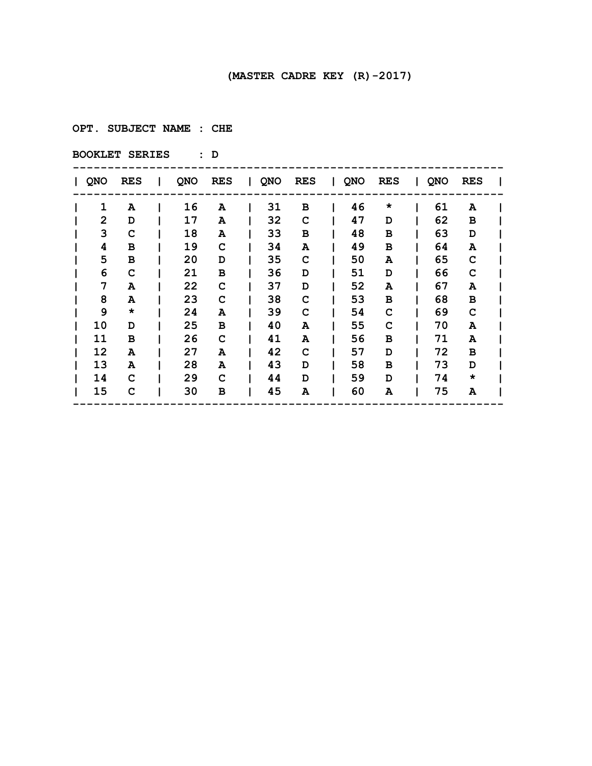**OPT. SUBJECT NAME : CHE**

| QNO | <b>RES</b> | I. | QNO | RES | QNO | <b>RES</b> | I QNO | <b>RES</b> | QNO | <b>RES</b> |  |
|-----|------------|----|-----|-----|-----|------------|-------|------------|-----|------------|--|
| 1   | A          |    | 16  | Α   | 31  | в          | 46    | $\star$    | 61  | A          |  |
| 2   | D          |    | 17  | A   | 32  | C          | 47    | D          | 62  | в          |  |
| 3   | C          |    | 18  | A   | 33  | в          | 48    | в          | 63  | D          |  |
| 4   | в          |    | 19  | C   | 34  | A          | 49    | в          | 64  | A          |  |
| 5   | в          |    | 20  | D   | 35  | C          | 50    | A          | 65  | C          |  |
| 6   | C          |    | 21  | в   | 36  | D          | 51    | D          | 66  | C          |  |
| 7   | A          |    | 22  | C   | 37  | D          | 52    | A          | 67  | A          |  |
| 8   | A          |    | 23  | C   | 38  | C          | 53    | в          | 68  | в          |  |
| 9   | *          |    | 24  | Α   | 39  | C          | 54    | C          | 69  | C          |  |
| 10  | D          |    | 25  | в   | 40  | A          | 55    | c          | 70  | Α          |  |
| 11  | в          |    | 26  | C   | 41  | A          | 56    | в          | 71  | Α          |  |
| 12  | A          |    | 27  | A   | 42  | C          | 57    | D          | 72  | в          |  |
| 13  | A          |    | 28  | A   | 43  | D          | 58    | в          | 73  | D          |  |
| 14  | C          |    | 29  | C   | 44  | D          | 59    | D          | 74  | $\star$    |  |
| 15  | C          |    | 30  | в   | 45  | A          | 60    | A          | 75  | A          |  |
|     |            |    |     |     |     |            |       |            |     |            |  |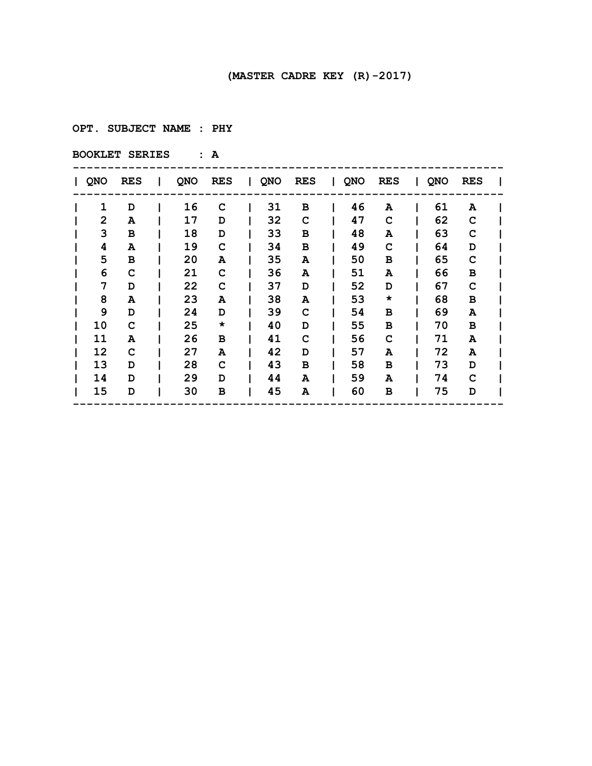**OPT. SUBJECT NAME : PHY**

| QNO | <b>RES</b> | L | QNO | <b>RES</b> | QNO | <b>RES</b> | QNO | <b>RES</b> | QNO | <b>RES</b> |  |
|-----|------------|---|-----|------------|-----|------------|-----|------------|-----|------------|--|
| 1   | D          |   | 16  | C          | 31  | в          | 46  | A          | 61  | A          |  |
| 2   | A          |   | 17  | D          | 32  | C          | 47  | C          | 62  | C          |  |
| 3   | в          |   | 18  | D          | 33  | в          | 48  | A          | 63  | C          |  |
| 4   | A          |   | 19  | C          | 34  | в          | 49  | C          | 64  | D          |  |
| 5   | в          |   | 20  | A          | 35  | A          | 50  | в          | 65  | C          |  |
| 6   | C          |   | 21  | C          | 36  | A          | 51  | A          | 66  | в          |  |
| 7   | D          |   | 22  | C          | 37  | D          | 52  | D          | 67  | C          |  |
| 8   | A          |   | 23  | A          | 38  | A          | 53  | $\star$    | 68  | в          |  |
| 9   | D          |   | 24  | D          | 39  | C          | 54  | в          | 69  | A          |  |
| 10  | C          |   | 25  | $\star$    | 40  | D          | 55  | в          | 70  | в          |  |
| 11  | A          |   | 26  | в          | 41  | C          | 56  | C          | 71  | A          |  |
| 12  | C          |   | 27  | Α          | 42  | D          | 57  | A          | 72  | A          |  |
| 13  | D          |   | 28  | C          | 43  | в          | 58  | в          | 73  | D          |  |
| 14  | D          |   | 29  | D          | 44  | A          | 59  | A          | 74  | C          |  |
| 15  | D          |   | 30  | в          | 45  | A          | 60  | в          | 75  | D          |  |
|     |            |   |     |            |     |            |     |            |     |            |  |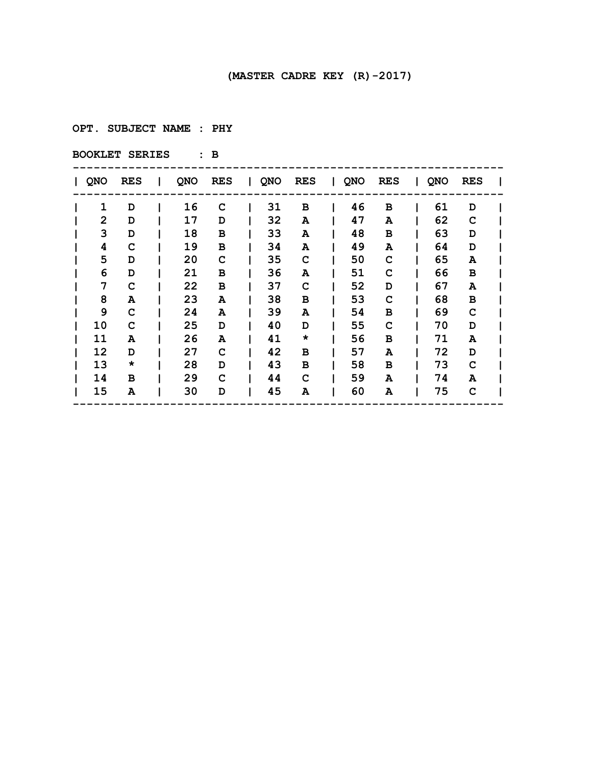**OPT. SUBJECT NAME : PHY**

| QNO | <b>RES</b> | L | QNO | RES | QNO | <b>RES</b> | I QNO | <b>RES</b> | QNO | <b>RES</b> |  |
|-----|------------|---|-----|-----|-----|------------|-------|------------|-----|------------|--|
| 1   | D          |   | 16  | C   | 31  | в          | 46    | в          | 61  | D          |  |
| 2   | D          |   | 17  | D   | 32  | A          | 47    | A          | 62  | C          |  |
| 3   | D          |   | 18  | в   | 33  | A          | 48    | в          | 63  | D          |  |
| 4   | C          |   | 19  | в   | 34  | A          | 49    | A          | 64  | D          |  |
| 5   | D          |   | 20  | C   | 35  | C          | 50    | C          | 65  | A          |  |
| 6   | D          |   | 21  | в   | 36  | A          | 51    | C          | 66  | в          |  |
| 7   | C          |   | 22  | в   | 37  | C          | 52    | D          | 67  | A          |  |
| 8   | A          |   | 23  | A   | 38  | в          | 53    | C          | 68  | в          |  |
| 9   | C          |   | 24  | A   | 39  | A          | 54    | в          | 69  | C          |  |
| 10  | C          |   | 25  | D   | 40  | D          | 55    | C          | 70  | D          |  |
| 11  | A          |   | 26  | A   | 41  | $\star$    | 56    | в          | 71  | A          |  |
| 12  | D          |   | 27  | C   | 42  | в          | 57    | A          | 72  | D          |  |
| 13  | *          |   | 28  | D   | 43  | в          | 58    | в          | 73  | C          |  |
| 14  | в          |   | 29  | C   | 44  | C          | 59    | A          | 74  | A          |  |
| 15  | A          |   | 30  | D   | 45  | A          | 60    | A          | 75  | C          |  |
|     |            |   |     |     |     |            |       |            |     |            |  |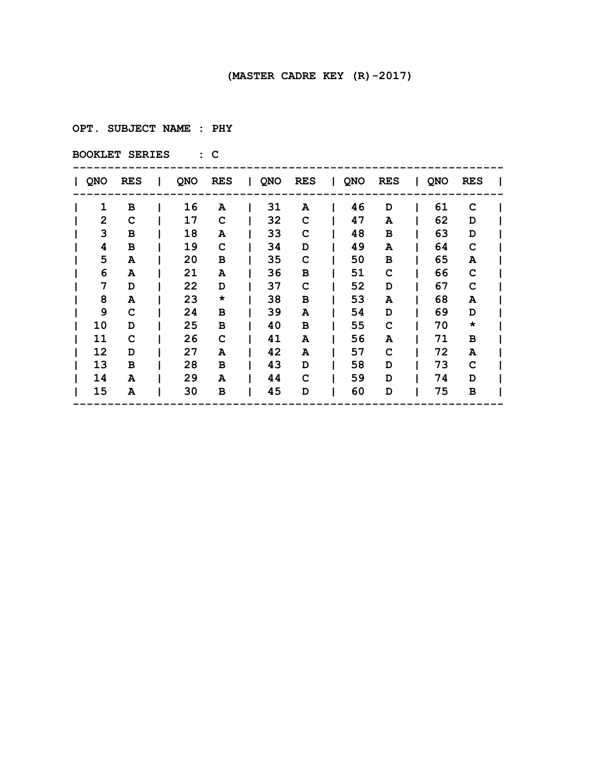**OPT. SUBJECT NAME : PHY**

| QNO          | <b>RES</b> | L | QNO | RES     | QNO | <b>RES</b> | QNO | <b>RES</b> | QNO | <b>RES</b> |  |
|--------------|------------|---|-----|---------|-----|------------|-----|------------|-----|------------|--|
| 1            | в          |   | 16  | Α       | 31  | A          | 46  | D          | 61  | C          |  |
| $\mathbf{2}$ | C          |   | 17  | C       | 32  | C          | 47  | A          | 62  | D          |  |
| 3            | в          |   | 18  | A       | 33  | C          | 48  | в          | 63  | D          |  |
| 4            | в          |   | 19  | C       | 34  | D          | 49  | A          | 64  | C          |  |
| 5            | A          |   | 20  | в       | 35  | C          | 50  | в          | 65  | A          |  |
| 6            | A          |   | 21  | A       | 36  | в          | 51  | C          | 66  | C          |  |
| 7            | D          |   | 22  | D       | 37  | C          | 52  | D          | 67  | C          |  |
| 8            | A          |   | 23  | $\star$ | 38  | в          | 53  | A          | 68  | A          |  |
| 9            | C          |   | 24  | в       | 39  | A          | 54  | D          | 69  | D          |  |
| 10           | D          |   | 25  | в       | 40  | в          | 55  | C          | 70  | $\star$    |  |
| 11           | C          |   | 26  | C       | 41  | A          | 56  | A          | 71  | в          |  |
| 12           | D          |   | 27  | A       | 42  | A          | 57  | C          | 72  | A          |  |
| 13           | в          |   | 28  | в       | 43  | D          | 58  | D          | 73  | C          |  |
| 14           | A          |   | 29  | A       | 44  | C          | 59  | D          | 74  | D          |  |
| 15           | A          |   | 30  | в       | 45  | D          | 60  | D          | 75  | в          |  |
|              |            |   |     |         |     |            |     |            |     |            |  |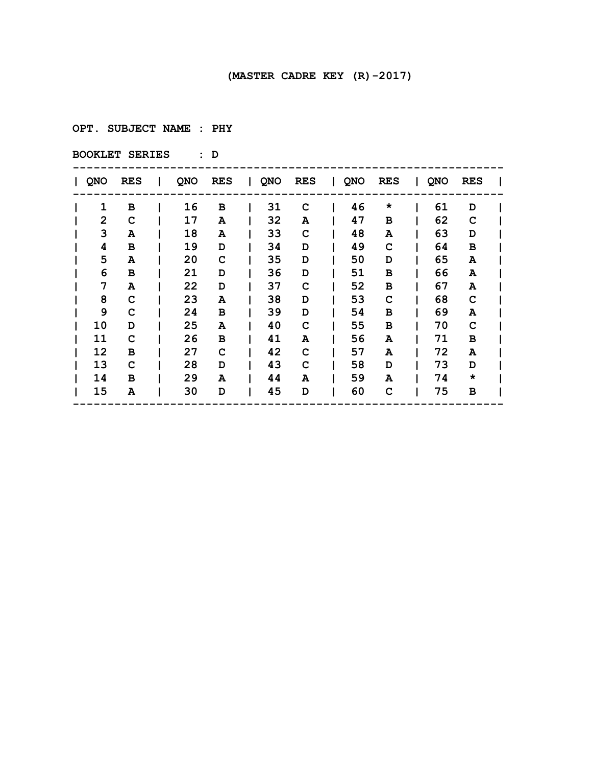**OPT. SUBJECT NAME : PHY**

| QNO          | <b>RES</b> | I. | QNO | RES | $\mathbf{I}$ | QNO | <b>RES</b> | QNO | <b>RES</b> | $\mathbf{L}$ | QNO | RES     |  |
|--------------|------------|----|-----|-----|--------------|-----|------------|-----|------------|--------------|-----|---------|--|
| 1            | в          |    | 16  | в   |              | 31  | C          | 46  | $\star$    |              | 61  | D       |  |
| $\mathbf{2}$ | C          |    | 17  | A   |              | 32  | A          | 47  | в          |              | 62  | C       |  |
| 3            | A          |    | 18  | A   |              | 33  | C          | 48  | A          |              | 63  | D       |  |
| 4            | в          |    | 19  | D   |              | 34  | D          | 49  | C          |              | 64  | в       |  |
| 5            | A          |    | 20  | C   |              | 35  | D          | 50  | D          |              | 65  | A       |  |
| 6            | в          |    | 21  | D   |              | 36  | D          | 51  | в          |              | 66  | Α       |  |
| 7            | A          |    | 22  | D   |              | 37  | C          | 52  | в          |              | 67  | A       |  |
| 8            | C          |    | 23  | A   |              | 38  | D          | 53  | C          |              | 68  | C       |  |
| 9            | C          |    | 24  | в   |              | 39  | D          | 54  | в          |              | 69  | A       |  |
| 10           | D          |    | 25  | A   |              | 40  | C          | 55  | в          |              | 70  | C       |  |
| 11           | C          |    | 26  | в   |              | 41  | A          | 56  | A          |              | 71  | в       |  |
| 12           | в          |    | 27  | C   |              | 42  | C          | 57  | A          |              | 72  | A       |  |
| 13           | C          |    | 28  | D   |              | 43  | C          | 58  | D          |              | 73  | D       |  |
| 14           | в          |    | 29  | A   |              | 44  | A          | 59  | A          |              | 74  | $\star$ |  |
| 15           | A          |    | 30  | D   |              | 45  | D          | 60  | C          |              | 75  | в       |  |
|              |            |    |     |     |              |     |            |     |            |              |     |         |  |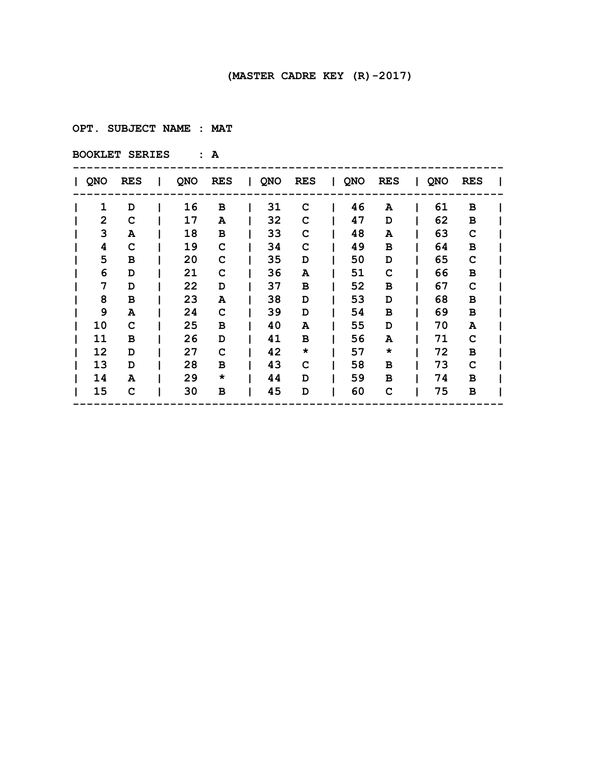**OPT. SUBJECT NAME : MAT**

| QNO          | <b>RES</b> | I. | QNO | RES     | QNO | <b>RES</b> | QNO | <b>RES</b> | QNO | <b>RES</b> |  |
|--------------|------------|----|-----|---------|-----|------------|-----|------------|-----|------------|--|
| 1            | D          |    | 16  | в       | 31  | C          | 46  | A          | 61  | в          |  |
| $\mathbf{2}$ | C          |    | 17  | A       | 32  | C          | 47  | D          | 62  | в          |  |
| 3            | A          |    | 18  | в       | 33  | C          | 48  | A          | 63  | C          |  |
| 4            | C          |    | 19  | C       | 34  | C          | 49  | в          | 64  | в          |  |
| 5            | в          |    | 20  | C       | 35  | D          | 50  | D          | 65  | C          |  |
| 6            | D          |    | 21  | C       | 36  | A          | 51  | C          | 66  | в          |  |
| 7            | D          |    | 22  | D       | 37  | в          | 52  | в          | 67  | C          |  |
| 8            | в          |    | 23  | A       | 38  | D          | 53  | D          | 68  | в          |  |
| 9            | A          |    | 24  | C       | 39  | D          | 54  | в          | 69  | в          |  |
| 10           | C          |    | 25  | в       | 40  | A          | 55  | D          | 70  | A          |  |
| 11           | в          |    | 26  | D       | 41  | в          | 56  | A          | 71  | C          |  |
| 12           | D          |    | 27  | C       | 42  | $\star$    | 57  | $\star$    | 72  | в          |  |
| 13           | D          |    | 28  | в       | 43  | C          | 58  | в          | 73  | C          |  |
| 14           | A          |    | 29  | $\star$ | 44  | D          | 59  | в          | 74  | в          |  |
| 15           | C          |    | 30  | в       | 45  | D          | 60  | C          | 75  | в          |  |
|              |            |    |     |         |     |            |     |            |     |            |  |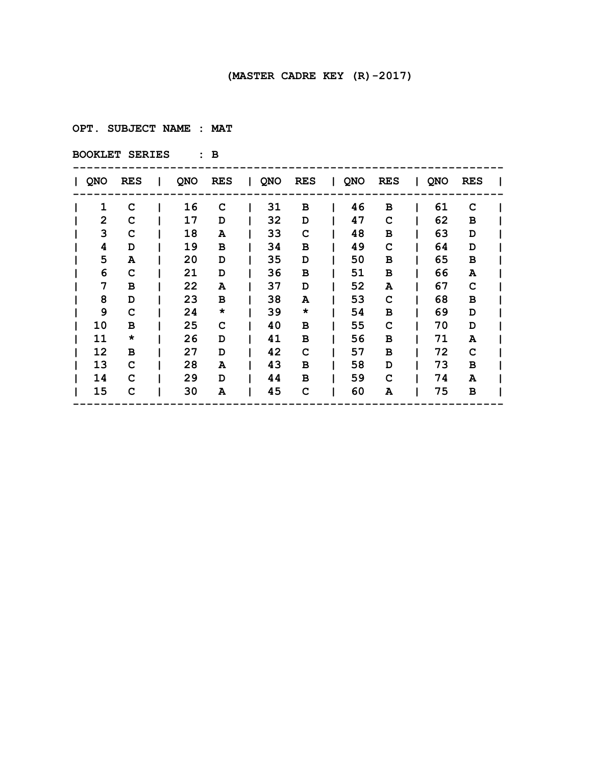**OPT. SUBJECT NAME : MAT**

| QNO | <b>RES</b> | I. | QNO | <b>RES</b> | $\mathbf{I}$ | QNO | <b>RES</b> | QNO | <b>RES</b> | $\mathbf{L}$ | QNO | RES |  |
|-----|------------|----|-----|------------|--------------|-----|------------|-----|------------|--------------|-----|-----|--|
| 1   | C          |    | 16  | C          |              | 31  | в          | 46  | в          |              | 61  | C   |  |
| 2   | C          |    | 17  | D          |              | 32  | D          | 47  | C          |              | 62  | в   |  |
| 3   | C          |    | 18  | A          |              | 33  | C          | 48  | в          |              | 63  | D   |  |
| 4   | D          |    | 19  | в          |              | 34  | в          | 49  | C          |              | 64  | D   |  |
| 5   | A          |    | 20  | D          |              | 35  | D          | 50  | в          |              | 65  | в   |  |
| 6   | C          |    | 21  | D          |              | 36  | в          | 51  | в          |              | 66  | A   |  |
| 7   | в          |    | 22  | A          |              | 37  | D          | 52  | A          |              | 67  | C   |  |
| 8   | D          |    | 23  | в          |              | 38  | A          | 53  | C          |              | 68  | в   |  |
| 9   | C          |    | 24  | $\star$    |              | 39  | $\star$    | 54  | в          |              | 69  | D   |  |
| 10  | в          |    | 25  | C          |              | 40  | в          | 55  | C          |              | 70  | D   |  |
| 11  | *          |    | 26  | D          |              | 41  | в          | 56  | в          |              | 71  | Α   |  |
| 12  | в          |    | 27  | D          |              | 42  | C          | 57  | в          |              | 72  | C   |  |
| 13  | C          |    | 28  | A          |              | 43  | в          | 58  | D          |              | 73  | в   |  |
| 14  | C          |    | 29  | D          |              | 44  | в          | 59  | C          |              | 74  | A   |  |
| 15  | C          |    | 30  | A          |              | 45  | C          | 60  | A          |              | 75  | в   |  |
|     |            |    |     |            |              |     |            |     |            |              |     |     |  |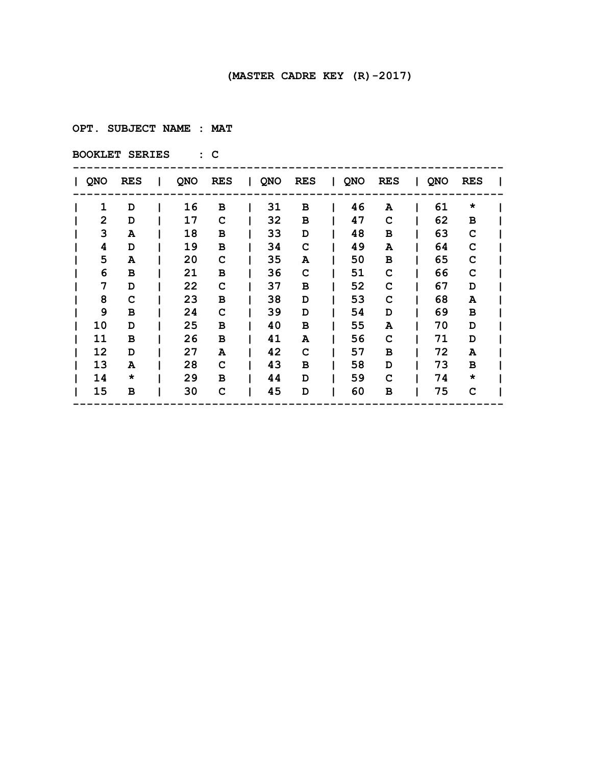**OPT. SUBJECT NAME : MAT**

| <b>QNO</b> | <b>RES</b> | I. | QNO | <b>RES</b> | a kara | QNO | <b>RES</b> | $\mathbf{I}$ | QNO | <b>RES</b> | $\mathbf{L}$ | QNO | <b>RES</b> |  |
|------------|------------|----|-----|------------|--------|-----|------------|--------------|-----|------------|--------------|-----|------------|--|
| 1          | D          |    | 16  | в          |        | 31  | в          |              | 46  | A          |              | 61  | $\star$    |  |
| 2          | D          |    | 17  | C          |        | 32  | в          |              | 47  | C          |              | 62  | в          |  |
| 3          | A          |    | 18  | в          |        | 33  | D          |              | 48  | в          |              | 63  | C          |  |
| 4          | D          |    | 19  | в          |        | 34  | C          |              | 49  | A          |              | 64  | C          |  |
| 5          | A          |    | 20  | C          |        | 35  | A          |              | 50  | в          |              | 65  | C          |  |
| 6          | в          |    | 21  | в          |        | 36  | C          |              | 51  | C          |              | 66  | C          |  |
| 7          | D          |    | 22  | C          |        | 37  | в          |              | 52  | C          |              | 67  | D          |  |
| 8          | C          |    | 23  | в          |        | 38  | D          |              | 53  | C          |              | 68  | Α          |  |
| 9          | в          |    | 24  | C          |        | 39  | D          |              | 54  | D          |              | 69  | в          |  |
| 10         | D          |    | 25  | в          |        | 40  | в          |              | 55  | A          |              | 70  | D          |  |
| 11         | в          |    | 26  | в          |        | 41  | A          |              | 56  | C          |              | 71  | D          |  |
| 12         | D          |    | 27  | A          |        | 42  | C          |              | 57  | в          |              | 72  | A          |  |
| 13         | A          |    | 28  | C          |        | 43  | в          |              | 58  | D          |              | 73  | в          |  |
| 14         | $\star$    |    | 29  | в          |        | 44  | D          |              | 59  | C          |              | 74  | *          |  |
| 15         | в          |    | 30  | C          |        | 45  | D          |              | 60  | в          |              | 75  | C          |  |
|            |            |    |     |            |        |     |            |              |     |            |              |     |            |  |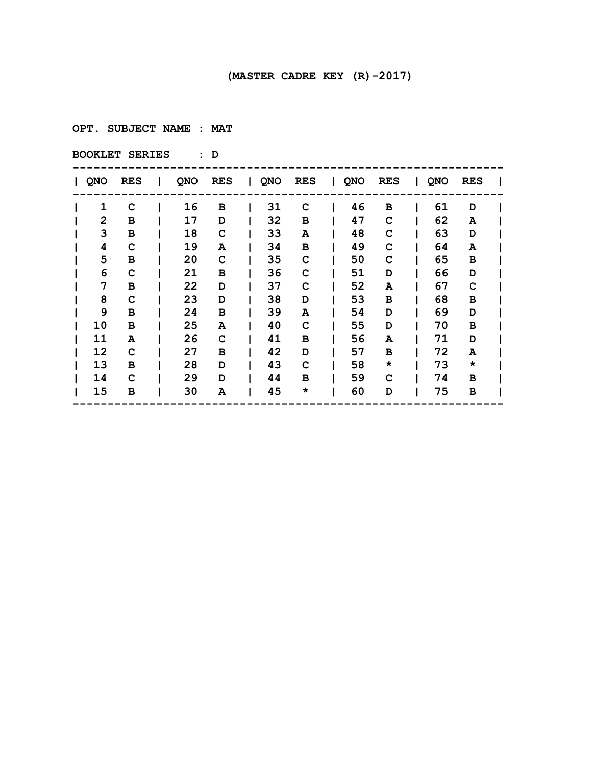**OPT. SUBJECT NAME : MAT**

| <b>QNO</b> | <b>RES</b> | L | QNO | <b>RES</b> | a kara | QNO | <b>RES</b> | $\mathbf{I}$ | QNO | <b>RES</b> | $\mathbf{I}$ | QNO | <b>RES</b> |  |
|------------|------------|---|-----|------------|--------|-----|------------|--------------|-----|------------|--------------|-----|------------|--|
| 1          | C          |   | 16  | в          |        | 31  | C          |              | 46  | в          |              | 61  | D          |  |
| 2          | в          |   | 17  | D          |        | 32  | в          |              | 47  | C          |              | 62  | A          |  |
| 3          | в          |   | 18  | C          |        | 33  | A          |              | 48  | C          |              | 63  | D          |  |
| 4          | C          |   | 19  | A          |        | 34  | в          |              | 49  | C          |              | 64  | A          |  |
| 5          | в          |   | 20  | C          |        | 35  | C          |              | 50  | C          |              | 65  | в          |  |
| 6          | C          |   | 21  | в          |        | 36  | C          |              | 51  | D          |              | 66  | D          |  |
| 7          | в          |   | 22  | D          |        | 37  | C          |              | 52  | A          |              | 67  | C          |  |
| 8          | C          |   | 23  | D          |        | 38  | D          |              | 53  | в          |              | 68  | в          |  |
| 9          | в          |   | 24  | в          |        | 39  | A          |              | 54  | D          |              | 69  | D          |  |
| 10         | в          |   | 25  | A          |        | 40  | C          |              | 55  | D          |              | 70  | в          |  |
| 11         | A          |   | 26  | C          |        | 41  | в          |              | 56  | A          |              | 71  | D          |  |
| 12         | C          |   | 27  | в          |        | 42  | D          |              | 57  | в          |              | 72  | A          |  |
| 13         | в          |   | 28  | D          |        | 43  | C          |              | 58  | $\star$    |              | 73  | $\star$    |  |
| 14         | C          |   | 29  | D          |        | 44  | в          |              | 59  | C          |              | 74  | в          |  |
| 15         | в          |   | 30  | A          |        | 45  | $\star$    |              | 60  | D          |              | 75  | в          |  |
|            |            |   |     |            |        |     |            |              |     |            |              |     |            |  |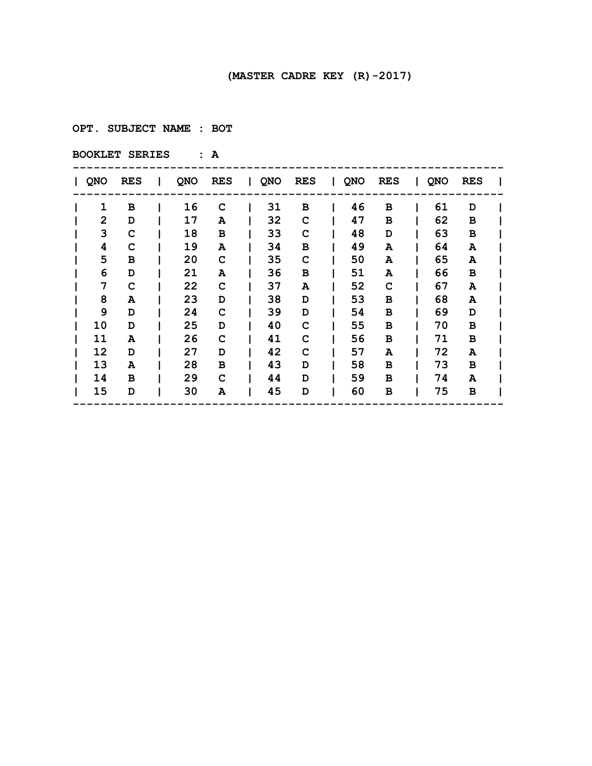**OPT. SUBJECT NAME : BOT**

| QNO | <b>RES</b> | $\mathbf{I}$ | QNO | RES | $\mathbf{I}$ | QNO | <b>RES</b> | QNO | <b>RES</b> | $\mathbf{L}$ | QNO | RES |  |
|-----|------------|--------------|-----|-----|--------------|-----|------------|-----|------------|--------------|-----|-----|--|
| 1   | в          |              | 16  | C   |              | 31  | в          | 46  | в          |              | 61  | D   |  |
| 2   | D          |              | 17  | A   |              | 32  | C          | 47  | в          |              | 62  | в   |  |
| 3   | C          |              | 18  | в   |              | 33  | C          | 48  | D          |              | 63  | в   |  |
| 4   | C          |              | 19  | A   |              | 34  | в          | 49  | A          |              | 64  | A   |  |
| 5   | в          |              | 20  | C   |              | 35  | C          | 50  | Α          |              | 65  | A   |  |
| 6   | D          |              | 21  | A   |              | 36  | в          | 51  | A          |              | 66  | в   |  |
| 7   | C          |              | 22  | C   |              | 37  | A          | 52  | C          |              | 67  | A   |  |
| 8   | A          |              | 23  | D   |              | 38  | D          | 53  | в          |              | 68  | A   |  |
| 9   | D          |              | 24  | C   |              | 39  | D          | 54  | в          |              | 69  | D   |  |
| 10  | D          |              | 25  | D   |              | 40  | C          | 55  | в          |              | 70  | в   |  |
| 11  | A          |              | 26  | C   |              | 41  | C          | 56  | в          |              | 71  | в   |  |
| 12  | D          |              | 27  | D   |              | 42  | C          | 57  | A          |              | 72  | A   |  |
| 13  | A          |              | 28  | в   |              | 43  | D          | 58  | в          |              | 73  | в   |  |
| 14  | в          |              | 29  | C   |              | 44  | D          | 59  | в          |              | 74  | A   |  |
| 15  | D          |              | 30  | A   |              | 45  | D          | 60  | в          |              | 75  | в   |  |
|     |            |              |     |     |              |     |            |     |            |              |     |     |  |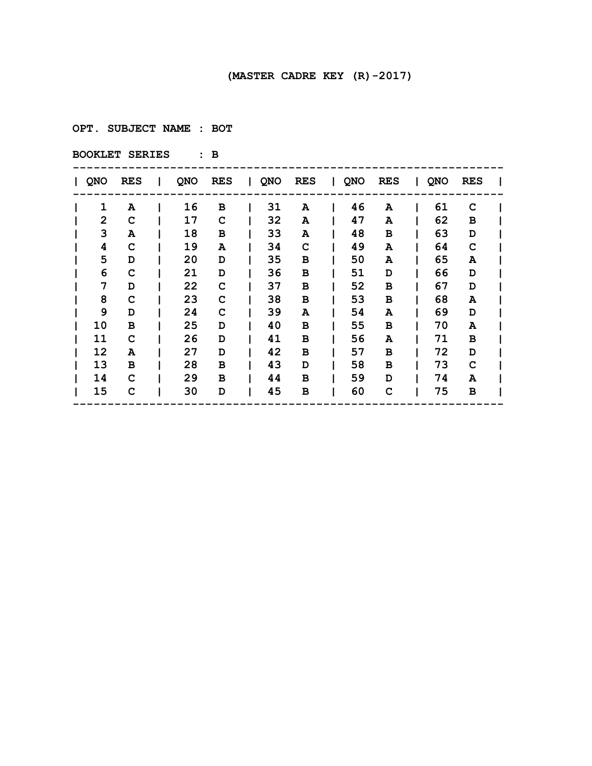**OPT. SUBJECT NAME : BOT**

| QNO          | <b>RES</b> | I. | QNO | <b>RES</b> | $\mathbf{I}$ | QNO | <b>RES</b> | I QNO | <b>RES</b> | $\mathbf{L}$ | QNO | <b>RES</b> |  |
|--------------|------------|----|-----|------------|--------------|-----|------------|-------|------------|--------------|-----|------------|--|
| 1            | A          |    | 16  | в          |              | 31  | A          | 46    | A          |              | 61  | C          |  |
| $\mathbf{2}$ | C          |    | 17  | C          |              | 32  | A          | 47    | A          |              | 62  | в          |  |
| 3            | A          |    | 18  | в          |              | 33  | A          | 48    | в          |              | 63  | D          |  |
| 4            | C          |    | 19  | A          |              | 34  | C          | 49    | A          |              | 64  | C          |  |
| 5            | D          |    | 20  | D          |              | 35  | в          | 50    | A          |              | 65  | A          |  |
| 6            | C          |    | 21  | D          |              | 36  | в          | 51    | D          |              | 66  | D          |  |
| 7            | D          |    | 22  | C          |              | 37  | в          | 52    | в          |              | 67  | D          |  |
| 8            | C          |    | 23  | C          |              | 38  | в          | 53    | в          |              | 68  | A          |  |
| 9            | D          |    | 24  | C          |              | 39  | A          | 54    | Α          |              | 69  | D          |  |
| 10           | в          |    | 25  | D          |              | 40  | в          | 55    | в          |              | 70  | A          |  |
| 11           | C          |    | 26  | D          |              | 41  | в          | 56    | Α          |              | 71  | в          |  |
| 12           | A          |    | 27  | D          |              | 42  | в          | 57    | в          |              | 72  | D          |  |
| 13           | в          |    | 28  | в          |              | 43  | D          | 58    | в          |              | 73  | C          |  |
| 14           | C          |    | 29  | в          |              | 44  | в          | 59    | D          |              | 74  | A          |  |
| 15           | C          |    | 30  | D          |              | 45  | в          | 60    | C          |              | 75  | в          |  |
|              |            |    |     |            |              |     |            |       |            |              |     |            |  |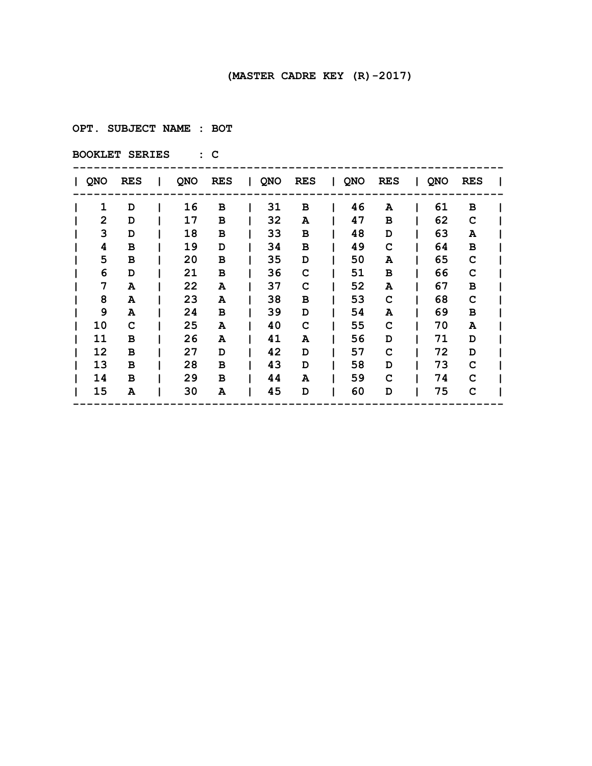**OPT. SUBJECT NAME : BOT**

| QNO | <b>RES</b> | I. | QNO | <b>RES</b> | $\mathbf{I}$ | QNO | <b>RES</b> | QNO | <b>RES</b> | $\mathbf{L}$ | QNO | RES |  |
|-----|------------|----|-----|------------|--------------|-----|------------|-----|------------|--------------|-----|-----|--|
| 1   | D          |    | 16  | в          |              | 31  | в          | 46  | A          |              | 61  | в   |  |
| 2   | D          |    | 17  | в          |              | 32  | A          | 47  | в          |              | 62  | C   |  |
| 3   | D          |    | 18  | в          |              | 33  | в          | 48  | D          |              | 63  | A   |  |
| 4   | в          |    | 19  | D          |              | 34  | в          | 49  | C          |              | 64  | в   |  |
| 5   | в          |    | 20  | в          |              | 35  | D          | 50  | A          |              | 65  | C   |  |
| 6   | D          |    | 21  | в          |              | 36  | C          | 51  | в          |              | 66  | C   |  |
| 7   | A          |    | 22  | A          |              | 37  | C          | 52  | Α          |              | 67  | в   |  |
| 8   | A          |    | 23  | A          |              | 38  | в          | 53  | C          |              | 68  | C   |  |
| 9   | A          |    | 24  | в          |              | 39  | D          | 54  | Α          |              | 69  | в   |  |
| 10  | C          |    | 25  | A          |              | 40  | C          | 55  | c          |              | 70  | A   |  |
| 11  | в          |    | 26  | A          |              | 41  | A          | 56  | D          |              | 71  | D   |  |
| 12  | в          |    | 27  | D          |              | 42  | D          | 57  | C          |              | 72  | D   |  |
| 13  | в          |    | 28  | в          |              | 43  | D          | 58  | D          |              | 73  | C   |  |
| 14  | в          |    | 29  | в          |              | 44  | A          | 59  | C          |              | 74  | C   |  |
| 15  | A          |    | 30  | A          |              | 45  | D          | 60  | D          |              | 75  | C   |  |
|     |            |    |     |            |              |     |            |     |            |              |     |     |  |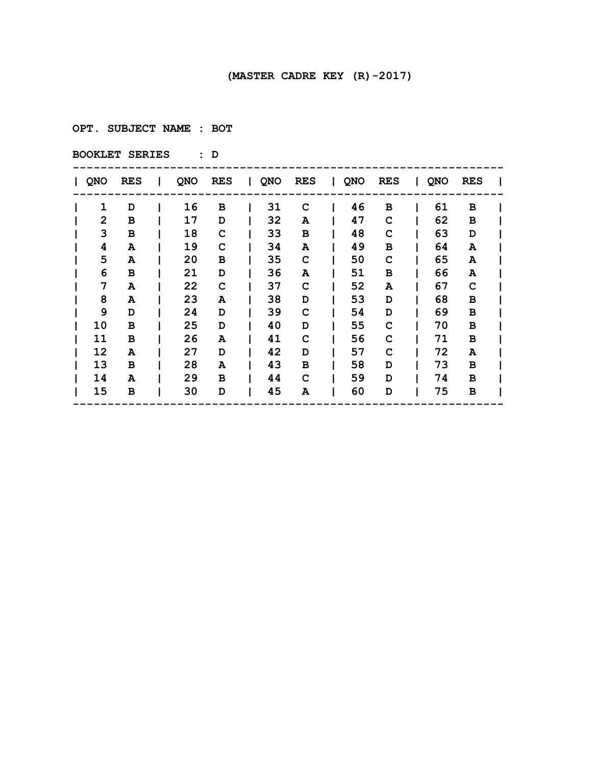**OPT. SUBJECT NAME : BOT**

| QNO | <b>RES</b> | I. | QNO | RES | $\mathbf{I}$ | QNO | <b>RES</b> | QNO | <b>RES</b> | $\mathbf{L}$ | QNO | RES |  |
|-----|------------|----|-----|-----|--------------|-----|------------|-----|------------|--------------|-----|-----|--|
| 1   | D          |    | 16  | в   |              | 31  | C          | 46  | в          |              | 61  | в   |  |
| 2   | в          |    | 17  | D   |              | 32  | A          | 47  | C          |              | 62  | в   |  |
| 3   | в          |    | 18  | C   |              | 33  | в          | 48  | C          |              | 63  | D   |  |
| 4   | A          |    | 19  | C   |              | 34  | A          | 49  | в          |              | 64  | A   |  |
| 5   | A          |    | 20  | в   |              | 35  | C          | 50  | C          |              | 65  | A   |  |
| 6   | в          |    | 21  | D   |              | 36  | A          | 51  | в          |              | 66  | A   |  |
| 7   | A          |    | 22  | C   |              | 37  | C          | 52  | A          |              | 67  | C   |  |
| 8   | A          |    | 23  | A   |              | 38  | D          | 53  | D          |              | 68  | в   |  |
| 9   | D          |    | 24  | D   |              | 39  | C          | 54  | D          |              | 69  | в   |  |
| 10  | в          |    | 25  | D   |              | 40  | D          | 55  | C          |              | 70  | в   |  |
| 11  | в          |    | 26  | A   |              | 41  | C          | 56  | C          |              | 71  | в   |  |
| 12  | A          |    | 27  | D   |              | 42  | D          | 57  | C          |              | 72  | A   |  |
| 13  | в          |    | 28  | A   |              | 43  | в          | 58  | D          |              | 73  | в   |  |
| 14  | A          |    | 29  | в   |              | 44  | C          | 59  | D          |              | 74  | в   |  |
| 15  | в          |    | 30  | D   |              | 45  | A          | 60  | D          |              | 75  | в   |  |
|     |            |    |     |     |              |     |            |     |            |              |     |     |  |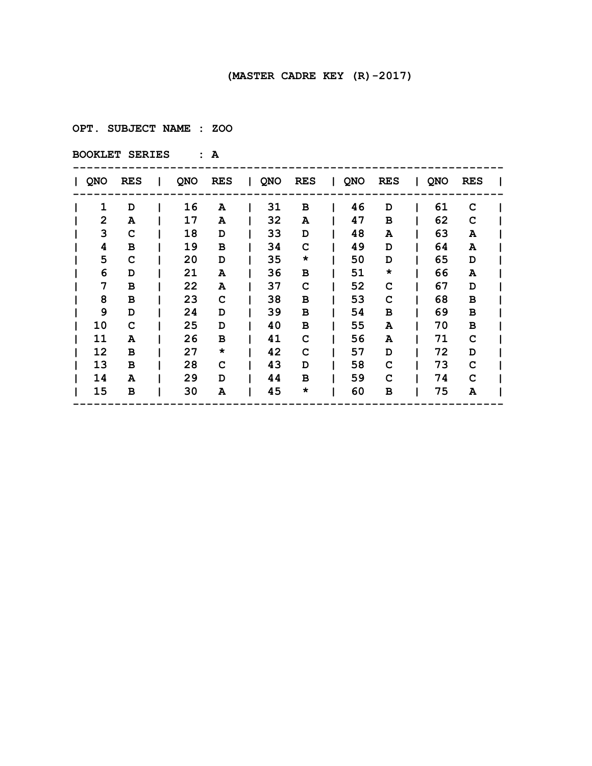**OPT. SUBJECT NAME : ZOO**

| QNO | <b>RES</b> | I. | QNO | <b>RES</b> | $\mathbf{I}$ | QNO | <b>RES</b> | QNO | <b>RES</b> | $\mathbf{L}$ | QNO | <b>RES</b> |  |
|-----|------------|----|-----|------------|--------------|-----|------------|-----|------------|--------------|-----|------------|--|
| 1   | D          |    | 16  | Α          |              | 31  | в          | 46  | D          |              | 61  | C          |  |
| 2   | A          |    | 17  | A          |              | 32  | A          | 47  | в          |              | 62  | C          |  |
| 3   | C          |    | 18  | D          |              | 33  | D          | 48  | A          |              | 63  | A          |  |
| 4   | в          |    | 19  | в          |              | 34  | C          | 49  | D          |              | 64  | A          |  |
| 5   | C          |    | 20  | D          |              | 35  | $\star$    | 50  | D          |              | 65  | D          |  |
| 6   | D          |    | 21  | A          |              | 36  | в          | 51  | *          |              | 66  | A          |  |
| 7   | в          |    | 22  | A          |              | 37  | C          | 52  | C          |              | 67  | D          |  |
| 8   | в          |    | 23  | C          |              | 38  | в          | 53  | C          |              | 68  | в          |  |
| 9   | D          |    | 24  | D          |              | 39  | в          | 54  | в          |              | 69  | в          |  |
| 10  | C          |    | 25  | D          |              | 40  | в          | 55  | Α          |              | 70  | в          |  |
| 11  | A          |    | 26  | в          |              | 41  | C          | 56  | A          |              | 71  | C          |  |
| 12  | в          |    | 27  | $\star$    |              | 42  | C          | 57  | D          |              | 72  | D          |  |
| 13  | в          |    | 28  | C          |              | 43  | D          | 58  | c          |              | 73  | C          |  |
| 14  | A          |    | 29  | D          |              | 44  | в          | 59  | C          |              | 74  | C          |  |
| 15  | в          |    | 30  | A          |              | 45  | $\star$    | 60  | в          |              | 75  | Α          |  |
|     |            |    |     |            |              |     |            |     |            |              |     |            |  |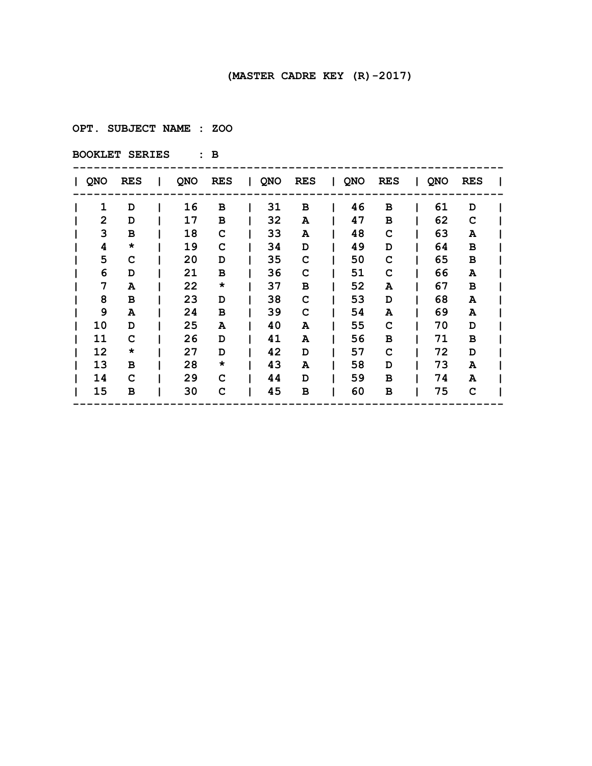**OPT. SUBJECT NAME : ZOO**

| QNO | <b>RES</b> | I. | QNO | RES     | QNO | <b>RES</b> | I QNO | <b>RES</b> | QNO | <b>RES</b> |  |
|-----|------------|----|-----|---------|-----|------------|-------|------------|-----|------------|--|
| 1   | D          |    | 16  | в       | 31  | в          | 46    | в          | 61  | D          |  |
| 2   | D          |    | 17  | в       | 32  | A          | 47    | в          | 62  | C          |  |
| 3   | в          |    | 18  | C       | 33  | A          | 48    | C          | 63  | A          |  |
| 4   | *          |    | 19  | C       | 34  | D          | 49    | D          | 64  | в          |  |
| 5   | C          |    | 20  | D       | 35  | C          | 50    | C          | 65  | в          |  |
| 6   | D          |    | 21  | в       | 36  | C          | 51    | C          | 66  | A          |  |
| 7   | A          |    | 22  | $\star$ | 37  | в          | 52    | A          | 67  | в          |  |
| 8   | в          |    | 23  | D       | 38  | C          | 53    | D          | 68  | A          |  |
| 9   | A          |    | 24  | в       | 39  | C          | 54    | A          | 69  | A          |  |
| 10  | D          |    | 25  | A       | 40  | A          | 55    | C          | 70  | D          |  |
| 11  | C          |    | 26  | D       | 41  | A          | 56    | в          | 71  | в          |  |
| 12  | *          |    | 27  | D       | 42  | D          | 57    | C          | 72  | D          |  |
| 13  | в          |    | 28  | *       | 43  | A          | 58    | D          | 73  | A          |  |
| 14  | C          |    | 29  | C       | 44  | D          | 59    | в          | 74  | A          |  |
| 15  | в          |    | 30  | C       | 45  | в          | 60    | в          | 75  | C          |  |
|     |            |    |     |         |     |            |       |            |     |            |  |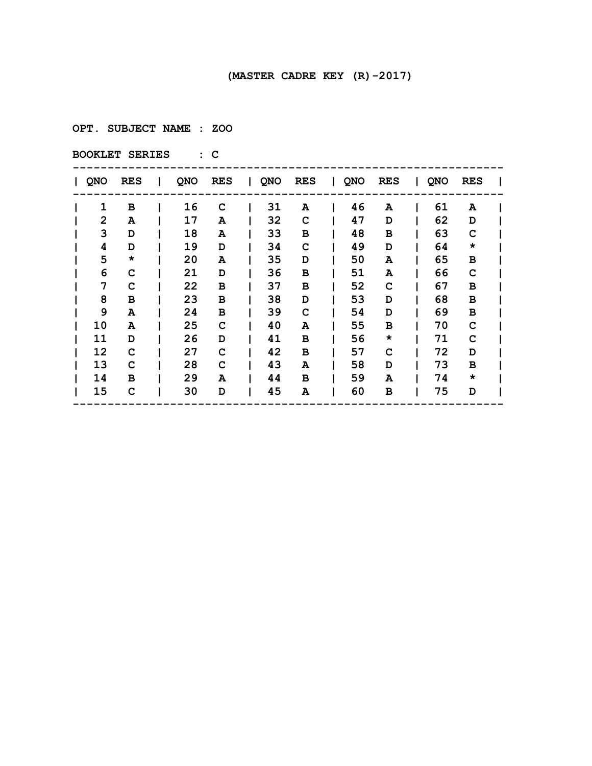**OPT. SUBJECT NAME : ZOO**

| QNO | <b>RES</b> | I. | QNO | RES | QNO | <b>RES</b> | QNO | <b>RES</b> | QNO | <b>RES</b> |  |
|-----|------------|----|-----|-----|-----|------------|-----|------------|-----|------------|--|
| 1   | в          |    | 16  | C   | 31  | A          | 46  | A          | 61  | A          |  |
| 2   | A          |    | 17  | A   | 32  | C          | 47  | D          | 62  | D          |  |
| 3   | D          |    | 18  | A   | 33  | в          | 48  | в          | 63  | C          |  |
| 4   | D          |    | 19  | D   | 34  | C          | 49  | D          | 64  | $\star$    |  |
| 5   | *          |    | 20  | A   | 35  | D          | 50  | A          | 65  | в          |  |
| 6   | C          |    | 21  | D   | 36  | в          | 51  | A          | 66  | C          |  |
| 7   | C          |    | 22  | в   | 37  | в          | 52  | C          | 67  | в          |  |
| 8   | в          |    | 23  | в   | 38  | D          | 53  | D          | 68  | в          |  |
| 9   | A          |    | 24  | в   | 39  | C          | 54  | D          | 69  | в          |  |
| 10  | A          |    | 25  | C   | 40  | A          | 55  | в          | 70  | C          |  |
| 11  | D          |    | 26  | D   | 41  | в          | 56  | $\star$    | 71  | C          |  |
| 12  | C          |    | 27  | C   | 42  | в          | 57  | C          | 72  | D          |  |
| 13  | C          |    | 28  | C   | 43  | A          | 58  | D          | 73  | в          |  |
| 14  | в          |    | 29  | A   | 44  | в          | 59  | A          | 74  | $\star$    |  |
| 15  | C          |    | 30  | D   | 45  | A          | 60  | в          | 75  | D          |  |
|     |            |    |     |     |     |            |     |            |     |            |  |